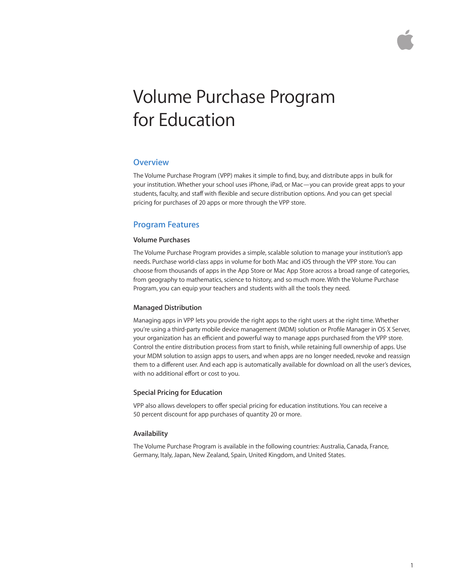

# Volume Purchase Program for Education

# **Overview**

The Volume Purchase Program (VPP) makes it simple to find, buy, and distribute apps in bulk for your institution. Whether your school uses iPhone, iPad, or Mac—you can provide great apps to your students, faculty, and staff with flexible and secure distribution options. And you can get special pricing for purchases of 20 apps or more through the VPP store.

# **Program Features**

## **Volume Purchases**

The Volume Purchase Program provides a simple, scalable solution to manage your institution's app needs. Purchase world-class apps in volume for both Mac and iOS through the VPP store. You can choose from thousands of apps in the App Store or Mac App Store across a broad range of categories, from geography to mathematics, science to history, and so much more. With the Volume Purchase Program, you can equip your teachers and students with all the tools they need.

## **Managed Distribution**

Managing apps in VPP lets you provide the right apps to the right users at the right time. Whether you're using a third-party mobile device management (MDM) solution or Profile Manager in OS X Server, your organization has an efficient and powerful way to manage apps purchased from the VPP store. Control the entire distribution process from start to finish, while retaining full ownership of apps. Use your MDM solution to assign apps to users, and when apps are no longer needed, revoke and reassign them to a different user. And each app is automatically available for download on all the user's devices, with no additional effort or cost to you.

## **Special Pricing for Education**

VPP also allows developers to offer special pricing for education institutions. You can receive a 50 percent discount for app purchases of quantity 20 or more.

## **Availability**

The Volume Purchase Program is available in the following countries: Australia, Canada, France, Germany, Italy, Japan, New Zealand, Spain, United Kingdom, and United States.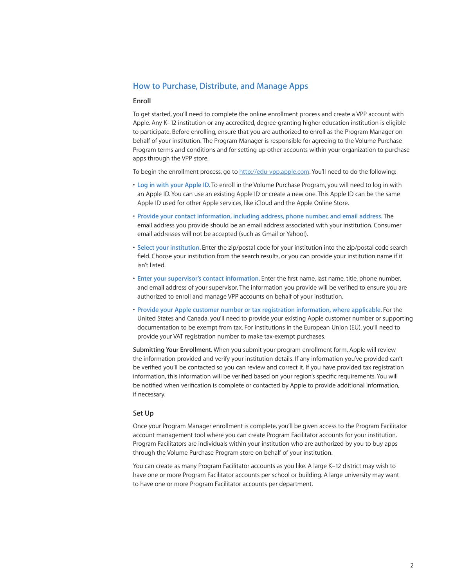# **How to Purchase, Distribute, and Manage Apps**

## **Enroll**

To get started, you'll need to complete the online enrollment process and create a VPP account with Apple. Any K–12 institution or any accredited, degree-granting higher education institution is eligible to participate. Before enrolling, ensure that you are authorized to enroll as the Program Manager on behalf of your institution. The Program Manager is responsible for agreeing to the Volume Purchase Program terms and conditions and for setting up other accounts within your organization to purchase apps through the VPP store.

To begin the enrollment process, go to <http://edu-vpp.apple.com>. You'll need to do the following:

- **Log in with your Apple ID.** To enroll in the Volume Purchase Program, you will need to log in with an Apple ID. You can use an existing Apple ID or create a new one. This Apple ID can be the same Apple ID used for other Apple services, like iCloud and the Apple Online Store.
- **Provide your contact information, including address, phone number, and email address.** The email address you provide should be an email address associated with your institution. Consumer email addresses will not be accepted (such as Gmail or Yahoo!).
- **Select your institution.** Enter the zip/postal code for your institution into the zip/postal code search field. Choose your institution from the search results, or you can provide your institution name if it isn't listed.
- **Enter your supervisor's contact information.** Enter the first name, last name, title, phone number, and email address of your supervisor. The information you provide will be verified to ensure you are authorized to enroll and manage VPP accounts on behalf of your institution.
- **Provide your Apple customer number or tax registration information, where applicable.** For the United States and Canada, you'll need to provide your existing Apple customer number or supporting documentation to be exempt from tax. For institutions in the European Union (EU), you'll need to provide your VAT registration number to make tax-exempt purchases.

**Submitting Your Enrollment.** When you submit your program enrollment form, Apple will review the information provided and verify your institution details. If any information you've provided can't be verified you'll be contacted so you can review and correct it. If you have provided tax registration information, this information will be verified based on your region's specific requirements. You will be notified when verification is complete or contacted by Apple to provide additional information, if necessary.

### **Set Up**

Once your Program Manager enrollment is complete, you'll be given access to the Program Facilitator account management tool where you can create Program Facilitator accounts for your institution. Program Facilitators are individuals within your institution who are authorized by you to buy apps through the Volume Purchase Program store on behalf of your institution.

You can create as many Program Facilitator accounts as you like. A large K–12 district may wish to have one or more Program Facilitator accounts per school or building. A large university may want to have one or more Program Facilitator accounts per department.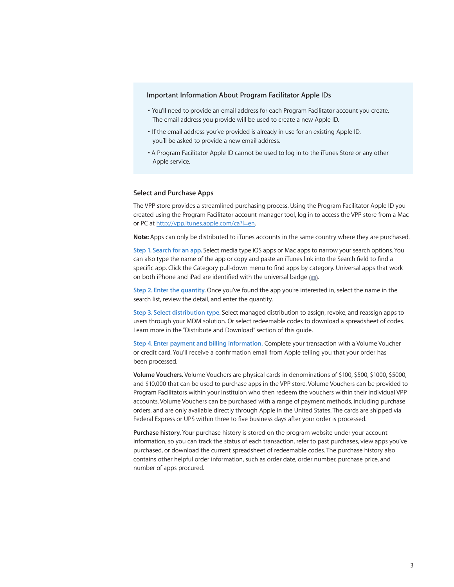## **Important Information About Program Facilitator Apple IDs**

- You'll need to provide an email address for each Program Facilitator account you create. The email address you provide will be used to create a new Apple ID.
- If the email address you've provided is already in use for an existing Apple ID, you'll be asked to provide a new email address.
- A Program Facilitator Apple ID cannot be used to log in to the iTunes Store or any other Apple service.

### **Select and Purchase Apps**

The VPP store provides a streamlined purchasing process. Using the Program Facilitator Apple ID you created using the Program Facilitator account manager tool, log in to access the VPP store from a Mac or PC at http:/[/vpp.itunes.apple.com/ca?l=en.](http://vpp.itunes.apple.com/ca?l=en)

**Note:** Apps can only be distributed to iTunes accounts in the same country where they are purchased.

**Step 1. Search for an app.** Select media type iOS apps or Mac apps to narrow your search options. You can also type the name of the app or copy and paste an iTunes link into the Search field to find a specific app. Click the Category pull-down menu to find apps by category. Universal apps that work on both iPhone and iPad are identified with the universal badge  $($ 

**Step 2. Enter the quantity.** Once you've found the app you're interested in, select the name in the search list, review the detail, and enter the quantity.

**Step 3. Select distribution type.** Select managed distribution to assign, revoke, and reassign apps to users through your MDM solution. Or select redeemable codes to download a spreadsheet of codes. Learn more in the "Distribute and Download" section of this guide.

**Step 4. Enter payment and billing information.** Complete your transaction with a Volume Voucher or credit card. You'll receive a confirmation email from Apple telling you that your order has been processed.

**Volume Vouchers.** Volume Vouchers are physical cards in denominations of \$100, \$500, \$1000, \$5000, and \$10,000 that can be used to purchase apps in the VPP store. Volume Vouchers can be provided to Program Facilitators within your instituion who then redeem the vouchers within their individual VPP accounts. Volume Vouchers can be purchased with a range of payment methods, including purchase orders, and are only available directly through Apple in the United States. The cards are shipped via Federal Express or UPS within three to five business days after your order is processed.

**Purchase history.** Your purchase history is stored on the program website under your account information, so you can track the status of each transaction, refer to past purchases, view apps you've purchased, or download the current spreadsheet of redeemable codes. The purchase history also contains other helpful order information, such as order date, order number, purchase price, and number of apps procured.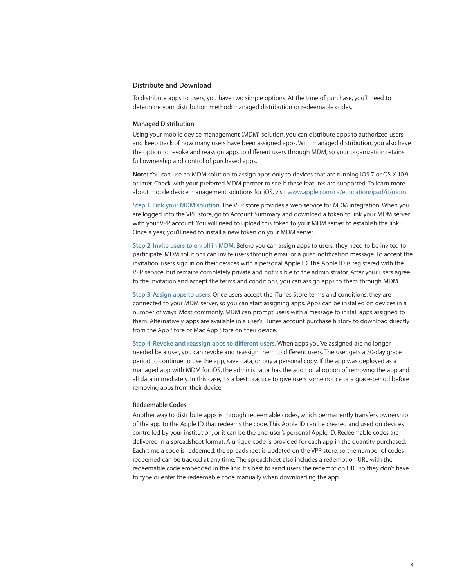# **Distribute and Download**

To distribute apps to users, you have two simple options. At the time of purchase, you'll need to determine your distribution method: managed distribution or redeemable codes.

#### **Managed Distribution**

Using your mobile device management (MDM) solution, you can distribute apps to authorized users and keep track of how many users have been assigned apps. With managed distribution, you also have the option to revoke and reassign apps to different users through MDM, so your organization retains full ownership and control of purchased apps.

**Note:** You can use an MDM solution to assign apps only to devices that are running iOS 7 or OS X 10.9 or later. Check with your preferred MDM partner to see if these features are supported. To learn more about mobile device management solutions for iOS, visit [www.apple.com/ca/education/ipad/it/mdm](http://www.apple.com/ca/education/ipad/it/mdm).

**Step 1. Link your MDM solution.** The VPP store provides a web service for MDM integration. When you are logged into the VPP store, go to Account Summary and download a token to link your MDM server with your VPP account. You will need to upload this token to your MDM server to establish the link. Once a year, you'll need to install a new token on your MDM server.

**Step 2. Invite users to enroll in MDM.** Before you can assign apps to users, they need to be invited to participate. MDM solutions can invite users through email or a push notification message. To accept the invitation, users sign in on their devices with a personal Apple ID. The Apple ID is registered with the VPP service, but remains completely private and not visible to the administrator. After your users agree to the invitation and accept the terms and conditions, you can assign apps to them through MDM.

**Step 3. Assign apps to users.** Once users accept the iTunes Store terms and conditions, they are connected to your MDM server, so you can start assigning apps. Apps can be installed on devices in a number of ways. Most commonly, MDM can prompt users with a message to install apps assigned to them. Alternatively, apps are available in a user's iTunes account purchase history to download directly from the App Store or Mac App Store on their device.

**Step 4. Revoke and reassign apps to different users.** When apps you've assigned are no longer needed by a user, you can revoke and reassign them to different users. The user gets a 30-day grace period to continue to use the app, save data, or buy a personal copy. If the app was deployed as a managed app with MDM for iOS, the administrator has the additional option of removing the app and all data immediately. In this case, it's a best practice to give users some notice or a grace-period before removing apps from their device.

#### **Redeemable Codes**

Another way to distribute apps is through redeemable codes, which permanently transfers ownership of the app to the Apple ID that redeems the code. This Apple ID can be created and used on devices controlled by your institution, or it can be the end-user's personal Apple ID. Redeemable codes are delivered in a spreadsheet format. A unique code is provided for each app in the quantity purchased. Each time a code is redeemed, the spreadsheet is updated on the VPP store, so the number of codes redeemed can be tracked at any time. The spreadsheet also includes a redemption URL with the redeemable code embedded in the link. It's best to send users the redemption URL so they don't have to type or enter the redeemable code manually when downloading the app.